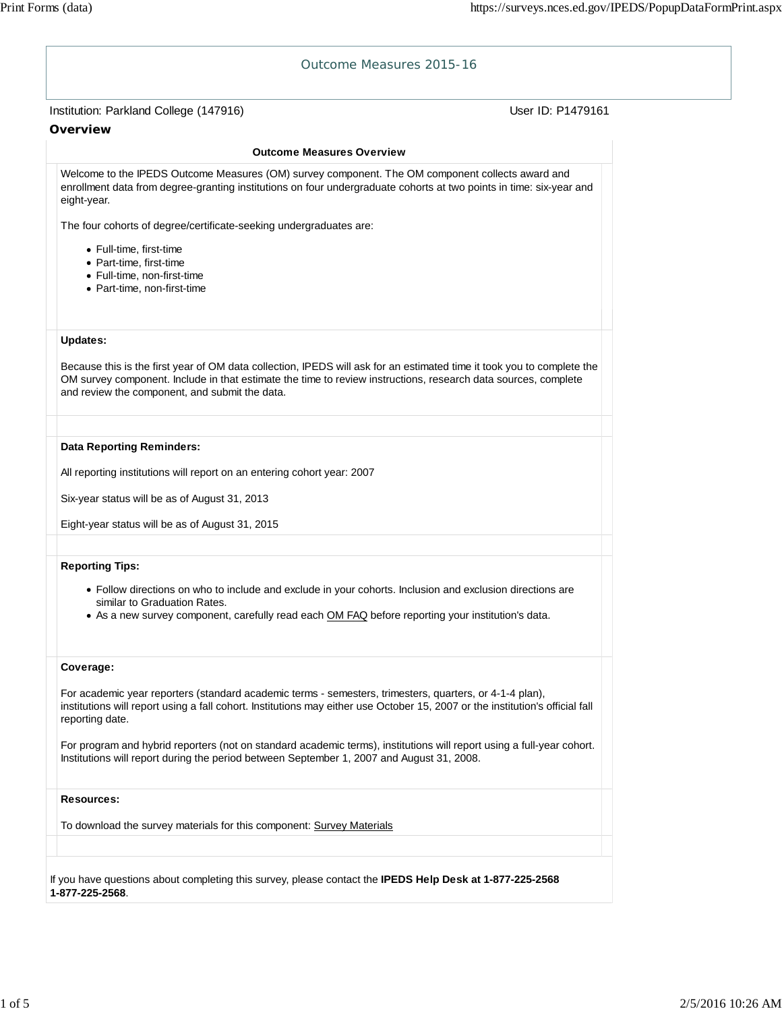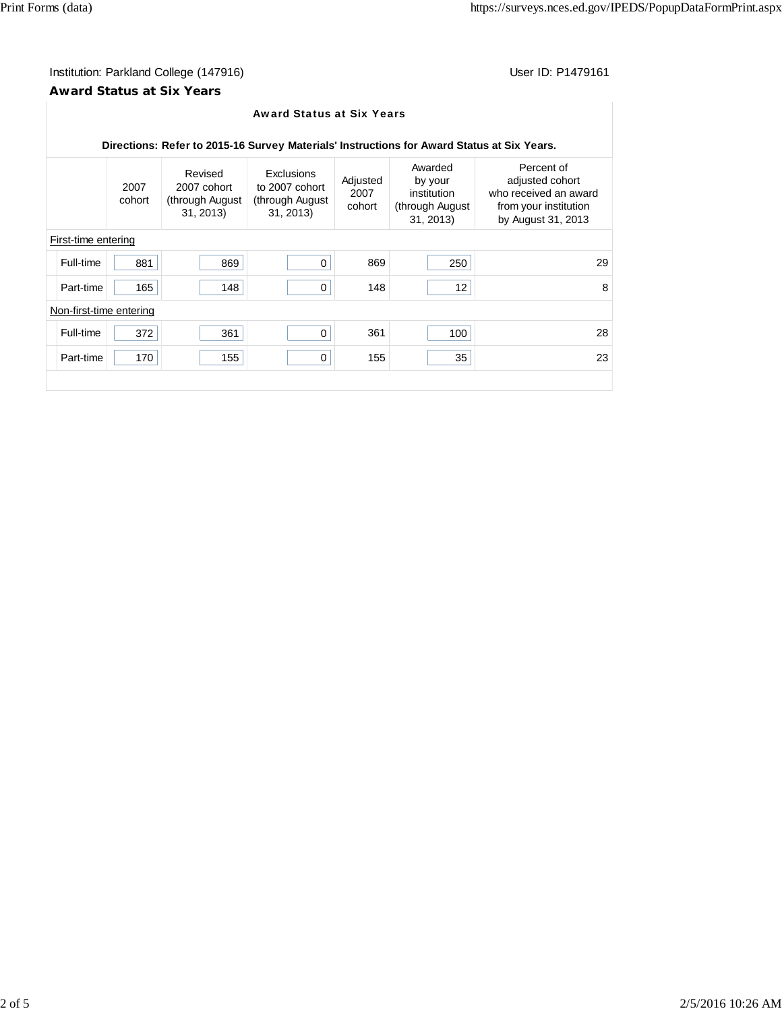$\overline{\phantom{a}}$ 

# Institution: Parkland College (147916) Contract College (147916)

## **Award Status at Six Years**

|                                                                                            |                |                                                       | <b>Award Status at Six Years</b>                             |                            |                                                                    |                                                                                                       |  |  |
|--------------------------------------------------------------------------------------------|----------------|-------------------------------------------------------|--------------------------------------------------------------|----------------------------|--------------------------------------------------------------------|-------------------------------------------------------------------------------------------------------|--|--|
| Directions: Refer to 2015-16 Survey Materials' Instructions for Award Status at Six Years. |                |                                                       |                                                              |                            |                                                                    |                                                                                                       |  |  |
|                                                                                            | 2007<br>cohort | Revised<br>2007 cohort<br>through August)<br>31, 2013 | Exclusions<br>to 2007 cohort<br>through August)<br>31, 2013) | Adjusted<br>2007<br>cohort | Awarded<br>by your<br>institution<br>(through August)<br>31, 2013) | Percent of<br>adjusted cohort<br>who received an award<br>from your institution<br>by August 31, 2013 |  |  |
| First-time entering                                                                        |                |                                                       |                                                              |                            |                                                                    |                                                                                                       |  |  |
| Full-time                                                                                  | 881            | 869                                                   | 0                                                            | 869                        | 250                                                                | 29                                                                                                    |  |  |
| Part-time                                                                                  | 165            | 148                                                   | 0                                                            | 148                        | 12                                                                 | 8                                                                                                     |  |  |
| Non-first-time entering                                                                    |                |                                                       |                                                              |                            |                                                                    |                                                                                                       |  |  |
| Full-time                                                                                  | 372            | 361                                                   | 0                                                            | 361                        | 100                                                                | 28                                                                                                    |  |  |
| Part-time                                                                                  | 170            | 155                                                   | 0                                                            | 155                        | 35                                                                 | 23                                                                                                    |  |  |
|                                                                                            |                |                                                       |                                                              |                            |                                                                    |                                                                                                       |  |  |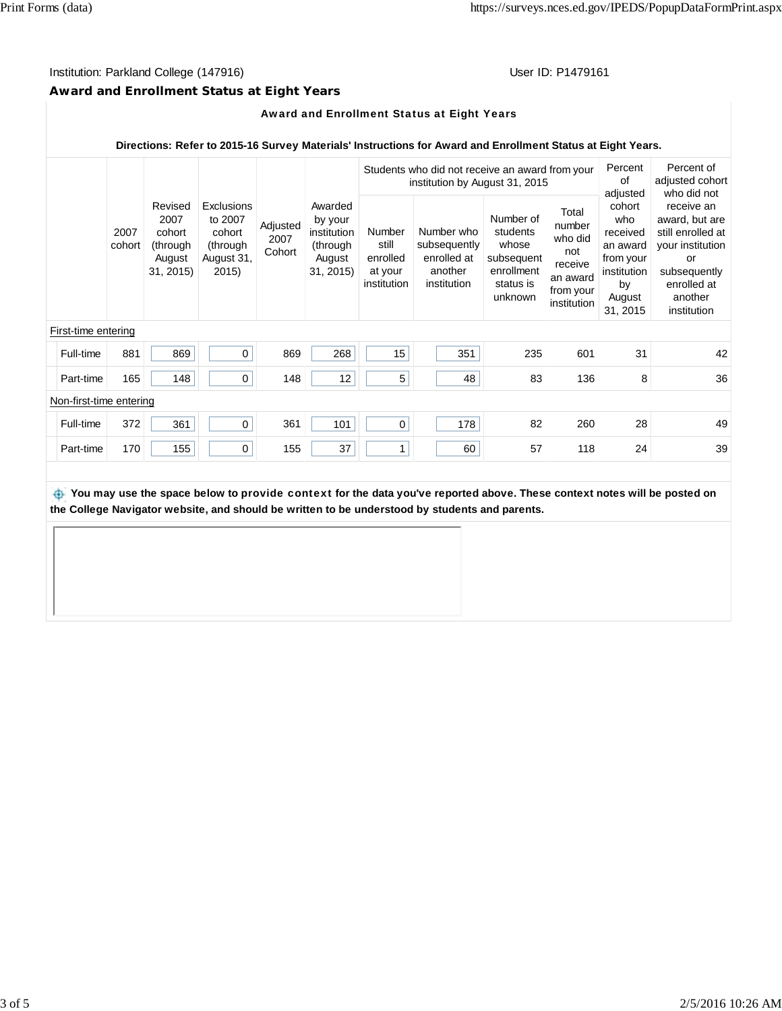# Institution: Parkland College (147916) Contract College (147916)

# **Award and Enrollment Status at Eight Years**

#### Award and Enrollment Status at Eight Years

#### **Directions: Refer to 2015-16 Survey Materials' Instructions for Award and Enrollment Status at Eight Years.**

|                         |                     |                |                                                              |                                                                           |                            | Students who did not receive an award from your<br>institution by August 31, 2015 |                                                              |                                                                     |                                                                                    | Percent<br>of                                                                        | Percent of<br>adjusted cohort                                                                             |                                                                                                                                                     |
|-------------------------|---------------------|----------------|--------------------------------------------------------------|---------------------------------------------------------------------------|----------------------------|-----------------------------------------------------------------------------------|--------------------------------------------------------------|---------------------------------------------------------------------|------------------------------------------------------------------------------------|--------------------------------------------------------------------------------------|-----------------------------------------------------------------------------------------------------------|-----------------------------------------------------------------------------------------------------------------------------------------------------|
|                         |                     | 2007<br>cohort | Revised<br>2007<br>cohort<br>(through<br>August<br>31, 2015) | <b>Exclusions</b><br>to 2007<br>cohort<br>(through<br>August 31,<br>2015) | Adjusted<br>2007<br>Cohort | Awarded<br>by your<br>institution<br>(through<br>August<br>31, 2015               | <b>Number</b><br>still<br>enrolled<br>at your<br>institution | Number who<br>subsequently<br>enrolled at<br>another<br>institution | Number of<br>students<br>whose<br>subsequent<br>enrollment<br>status is<br>unknown | Total<br>number<br>who did<br>not<br>receive<br>an award<br>from your<br>institution | adjusted<br>cohort<br>who<br>received<br>an award<br>from your<br>institution<br>by<br>August<br>31, 2015 | who did not<br>receive an<br>award, but are<br>still enrolled at<br>your institution<br>or<br>subsequently<br>enrolled at<br>another<br>institution |
|                         | First-time entering |                |                                                              |                                                                           |                            |                                                                                   |                                                              |                                                                     |                                                                                    |                                                                                      |                                                                                                           |                                                                                                                                                     |
|                         | Full-time           | 881            | 869                                                          | $\mathbf 0$                                                               | 869                        | 268                                                                               | 15                                                           | 351                                                                 | 235                                                                                | 601                                                                                  | 31                                                                                                        | 42                                                                                                                                                  |
|                         | Part-time           | 165            | 148                                                          | 0                                                                         | 148                        | 12                                                                                | 5                                                            | 48                                                                  | 83                                                                                 | 136                                                                                  | 8                                                                                                         | 36                                                                                                                                                  |
| Non-first-time entering |                     |                |                                                              |                                                                           |                            |                                                                                   |                                                              |                                                                     |                                                                                    |                                                                                      |                                                                                                           |                                                                                                                                                     |
|                         | Full-time           | 372            | 361                                                          | 0                                                                         | 361                        | 101                                                                               | 0                                                            | 178                                                                 | 82                                                                                 | 260                                                                                  | 28                                                                                                        | 49                                                                                                                                                  |
|                         | Part-time           | 170            | 155                                                          | 0                                                                         | 155                        | 37                                                                                | 1                                                            | 60                                                                  | 57                                                                                 | 118                                                                                  | 24                                                                                                        | 39                                                                                                                                                  |

 **You may use the space below to** provide context **for the data you've reported above. These context notes will be posted on the College Navigator website, and should be written to be understood by students and parents.**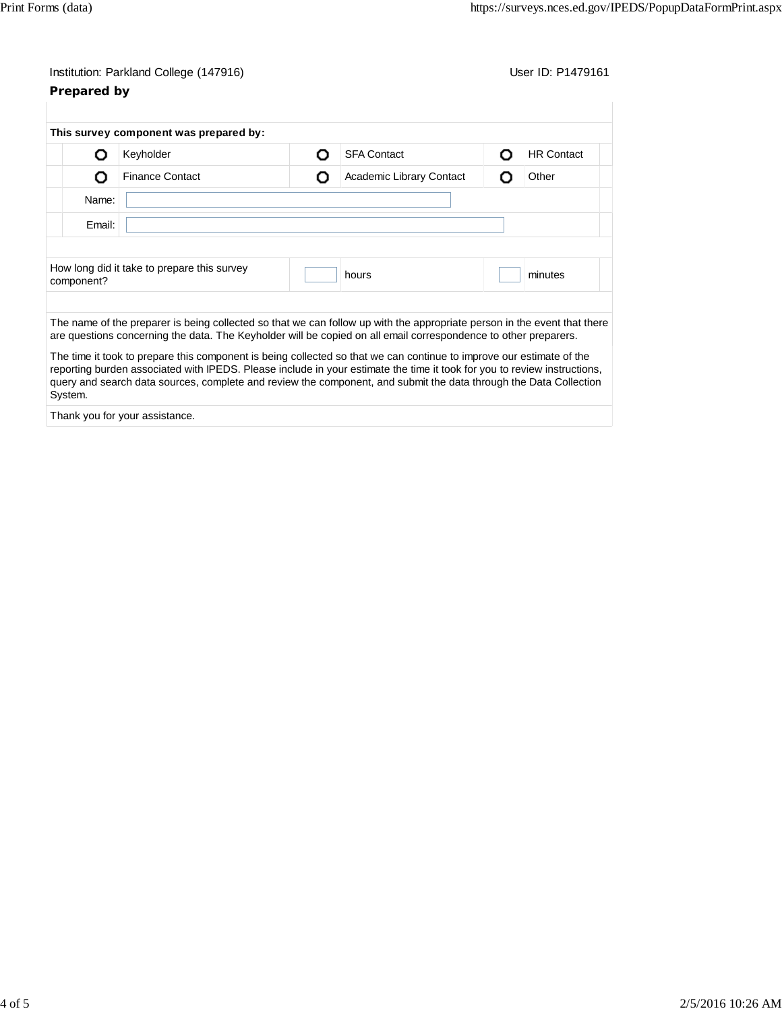# Institution: Parkland College (147916) Contract College (147916) **Prepared by**

|                                                                               | This survey component was prepared by:                                                                                                                                                                                                                                                                                                                                |                               |  |  |                   |
|-------------------------------------------------------------------------------|-----------------------------------------------------------------------------------------------------------------------------------------------------------------------------------------------------------------------------------------------------------------------------------------------------------------------------------------------------------------------|-------------------------------|--|--|-------------------|
| נו                                                                            | Keyholder                                                                                                                                                                                                                                                                                                                                                             | <b>SFA Contact</b><br>O       |  |  | <b>HR Contact</b> |
| O                                                                             | <b>Finance Contact</b>                                                                                                                                                                                                                                                                                                                                                | Academic Library Contact<br>О |  |  | Other             |
| Name:                                                                         |                                                                                                                                                                                                                                                                                                                                                                       |                               |  |  |                   |
| Email:                                                                        |                                                                                                                                                                                                                                                                                                                                                                       |                               |  |  |                   |
|                                                                               |                                                                                                                                                                                                                                                                                                                                                                       |                               |  |  |                   |
| How long did it take to prepare this survey<br>minutes<br>hours<br>component? |                                                                                                                                                                                                                                                                                                                                                                       |                               |  |  |                   |
|                                                                               |                                                                                                                                                                                                                                                                                                                                                                       |                               |  |  |                   |
|                                                                               | The name of the preparer is being collected so that we can follow up with the appropriate person in the event that there<br>are questions concerning the data. The Keyholder will be copied on all email correspondence to other preparers.                                                                                                                           |                               |  |  |                   |
| System.                                                                       | The time it took to prepare this component is being collected so that we can continue to improve our estimate of the<br>reporting burden associated with IPEDS. Please include in your estimate the time it took for you to review instructions,<br>query and search data sources, complete and review the component, and submit the data through the Data Collection |                               |  |  |                   |
|                                                                               | Thank you for your assistance.                                                                                                                                                                                                                                                                                                                                        |                               |  |  |                   |